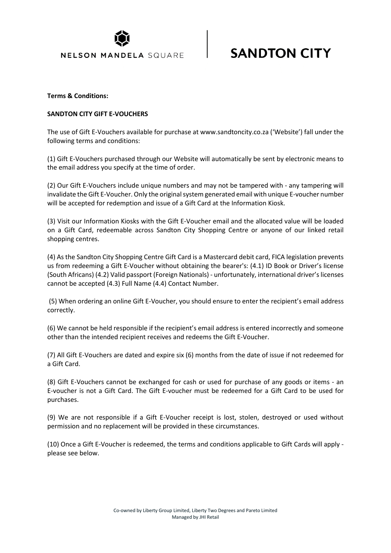

## **SANDTON CITY**

#### **Terms & Conditions:**

#### **SANDTON CITY GIFT E-VOUCHERS**

The use of Gift E-Vouchers available for purchase at www.sandtoncity.co.za ('Website') fall under the following terms and conditions:

(1) Gift E-Vouchers purchased through our Website will automatically be sent by electronic means to the email address you specify at the time of order.

(2) Our Gift E-Vouchers include unique numbers and may not be tampered with - any tampering will invalidate the Gift E-Voucher. Only the original system generated email with unique E-voucher number will be accepted for redemption and issue of a Gift Card at the Information Kiosk.

(3) Visit our Information Kiosks with the Gift E-Voucher email and the allocated value will be loaded on a Gift Card, redeemable across Sandton City Shopping Centre or anyone of our linked retail shopping centres.

(4) As the Sandton City Shopping Centre Gift Card is a Mastercard debit card, FICA legislation prevents us from redeeming a Gift E-Voucher without obtaining the bearer's: (4.1) ID Book or Driver's license (South Africans) (4.2) Valid passport (Foreign Nationals) - unfortunately, international driver's licenses cannot be accepted (4.3) Full Name (4.4) Contact Number.

(5) When ordering an online Gift E-Voucher, you should ensure to enter the recipient's email address correctly.

(6) We cannot be held responsible if the recipient's email address is entered incorrectly and someone other than the intended recipient receives and redeems the Gift E-Voucher.

(7) All Gift E-Vouchers are dated and expire six (6) months from the date of issue if not redeemed for a Gift Card.

(8) Gift E-Vouchers cannot be exchanged for cash or used for purchase of any goods or items - an E-voucher is not a Gift Card. The Gift E-voucher must be redeemed for a Gift Card to be used for purchases.

(9) We are not responsible if a Gift E-Voucher receipt is lost, stolen, destroyed or used without permission and no replacement will be provided in these circumstances.

(10) Once a Gift E-Voucher is redeemed, the terms and conditions applicable to Gift Cards will apply please see below.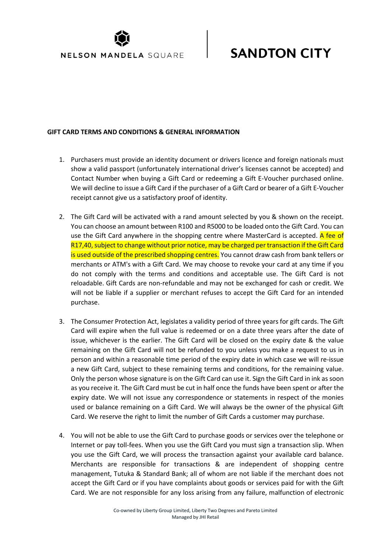

# **SANDTON CITY**

### **GIFT CARD TERMS AND CONDITIONS & GENERAL INFORMATION**

- 1. Purchasers must provide an identity document or drivers licence and foreign nationals must show a valid passport (unfortunately international driver's licenses cannot be accepted) and Contact Number when buying a Gift Card or redeeming a Gift E-Voucher purchased online. We will decline to issue a Gift Card if the purchaser of a Gift Card or bearer of a Gift E-Voucher receipt cannot give us a satisfactory proof of identity.
- 2. The Gift Card will be activated with a rand amount selected by you & shown on the receipt. You can choose an amount between R100 and R5000 to be loaded onto the Gift Card. You can use the Gift Card anywhere in the shopping centre where MasterCard is accepted. A fee of R17,40, subject to change without prior notice, may be charged per transaction if the Gift Card is used outside of the prescribed shopping centres. You cannot draw cash from bank tellers or merchants or ATM's with a Gift Card. We may choose to revoke your card at any time if you do not comply with the terms and conditions and acceptable use. The Gift Card is not reloadable. Gift Cards are non-refundable and may not be exchanged for cash or credit. We will not be liable if a supplier or merchant refuses to accept the Gift Card for an intended purchase.
- 3. The Consumer Protection Act, legislates a validity period of three years for gift cards. The Gift Card will expire when the full value is redeemed or on a date three years after the date of issue, whichever is the earlier. The Gift Card will be closed on the expiry date & the value remaining on the Gift Card will not be refunded to you unless you make a request to us in person and within a reasonable time period of the expiry date in which case we will re-issue a new Gift Card, subject to these remaining terms and conditions, for the remaining value. Only the person whose signature is on the Gift Card can use it. Sign the Gift Card in ink as soon as you receive it. The Gift Card must be cut in half once the funds have been spent or after the expiry date. We will not issue any correspondence or statements in respect of the monies used or balance remaining on a Gift Card. We will always be the owner of the physical Gift Card. We reserve the right to limit the number of Gift Cards a customer may purchase.
- 4. You will not be able to use the Gift Card to purchase goods or services over the telephone or Internet or pay toll-fees. When you use the Gift Card you must sign a transaction slip. When you use the Gift Card, we will process the transaction against your available card balance. Merchants are responsible for transactions & are independent of shopping centre management, Tutuka & Standard Bank; all of whom are not liable if the merchant does not accept the Gift Card or if you have complaints about goods or services paid for with the Gift Card. We are not responsible for any loss arising from any failure, malfunction of electronic